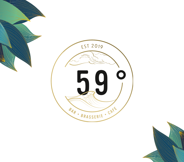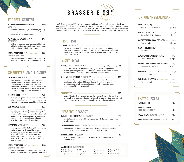### FORRETT STARTER

#### TOAST MED KRABBESALAT (1,2,3,7,10,12) ~~~ 165.-CRAB TOAST

rista toast med krabbe, reker, fennikel, eple og sitronmajones / toast with crab, shrimp, fennel, apple and lemon mayonnaise

ASPARGES & SPEKESKINKE (3,7,12) ~~~~~~ 175.-ASPARAGUS

grilla grøn asparges med lokal spekeskinke og luftig hollandaisesaus / grilled green aspatagus with local ham and hollandaise sauce

KREMA FISKESUPPE (2,4,7,9) ~~~~~~~~~~~~~~ 190,-CREAMED FISH SOUP

med dagens fangst, sprø grønsaker og urteolje / with catch of the day, crispy vegetables and oil

## SMÅRETTER SMALL DISHES

- «BURGER 59°» #9 (1,3,7,10,12) 260,-
- med brioche, romanosalat, bifftomat, sylta raudløk, sylteagurk, norsk cheddar og bacon - servert med crispy fries, aioli og ketchup / hamburger with brioche, romano salad, tomato, pickled red onion, cheddar cheese and bacon served with crispy fries, aioli and ketchup

#### FISH AND CHIPS (1,3,4,10,12) 250,-

med grov ertepurè, sitron, heimelaga remulade, crispy fries og ketchup / with pea puree, lemon, homemade rèmoulade, crispy fries and ketchup

**SOMMARSALAT** SALAD<sup>(1,3,10)</sup> 255.-

med grilla livechèkylling, vannmelon, jordbær, asparges, rista solsikkekjerner, urtevinaigrette servert med focaccia og sitronaioli / with grilled chicken, watermelon, strawberries, asparagus, roasted sunflower seeds, herb vinaigrette served with focaccia and lemon aioli

#### KLOSTERSALAT SALAD (1,3,4,10) 255,-

med røykelaks frå Klosterlaks, grilla vannmelon, jordbær, asparges, rista solsikkekjerner, urtevinaigrette - servert med focaccia og sitronaioli / with local salmon, watermelon, strawberries, asparagus, roasted sunflower seeds, herb vinaigrette - served with focaccia and lemon aioli

| KREMA FISKESUPPE <sup>(2,4,7,9)</sup><br><b>CREAMED FISH SOUP</b>                                        | $215 -$ |
|----------------------------------------------------------------------------------------------------------|---------|
| med dagens fangst, sprø grønsaker og urteolje /<br>with catch of the day, crispy vegetables and herb oil |         |



Cafè, Brasserie og Bar 59° er inspirerte av åra Leiv Martin og Aud – gründerane av Stord Hotell – hadde i utanriksfart på ruter rundt Sør-Amerika og over Atlanteren på 60-talet. Stil- og interiørelement er henta frå både skip og kontinentale restaurantar, kafear og barar, og menyane våre er influerte av klassiske brasserie- og kaferettar og Leiv Martin sine år som skipskokk og stuert – med ein lokal og moderne vri.

## FISK FISH

STEINBIT CATFISH (4,7,9) 325,-

ovnsbakt steinbit med tomatpesto, sesongens smørdampa primører, frityrsteikte nypoteter med gressløk og urteolje / oven-baked catfish with tomato pesto, seasonal butter steam primroses, deep-fried new potatoes with chives & herb oil

#### KJØTT MEAT

**BIFF 59° BEEF TENDERLION** (3,7,9)  $\sim$  160 gr. **360**,- 250 gr. **395**,-<br>
indrefilet av okse med gulrotkrem, sesongens smørdampa primører,<br>
duchesspoteter og urtesmør / beef tenderlojn with carrot cream, seasonal indrefilet av okse med gulrotkrem, sesongens smørdampa primører, duchesspoteter og urtesmør / beef tenderloin with carrot cream, seasonal buttersteamed primroses, duchesse potatoes and herb butter

#### GRILLA LIVECHÈKYLLING CHICKEN (1,3,10) 295,-

grilla livechèkylling med grilla hjertesalat, lune perletomater, urtevinaigrette, crispy søtpotet frites og sitron aioli / grilled chicken with grilled coleslaw salad, warm pearl tomatoes, herb vinaigrette, crispy sweet potato fries and lemon aioli

|  | <b>VEGETAR</b> (1,7,8,12) <b>www.www.www.www.www.marrow</b> |  |
|--|-------------------------------------------------------------|--|
|--|-------------------------------------------------------------|--|

saltbakt knutekål med blomkålpurè, grilla hjertesalat, grønnkålchips, rista gresskarkjerner og urtevinaigrette / saltbaked kohlrabi, cauliflowerpurè, grilled romano salad, kale chips, toasted pumpkinseeds and herb vinaigrette

#### DESSERT DESSERT

| RABARBRA & HYLLEBLOMST RHUBARB <sup>(3,7)</sup> ~~~~~~~~~~~~~~~~~~~~~~~~~~                                                        | 140.- |
|-----------------------------------------------------------------------------------------------------------------------------------|-------|
| prosjert rabarbra med hylleblomst og vaniljeis / rhubarb with elderflower<br>and ice cream                                        |       |
|                                                                                                                                   | 145.- |
| sitronparfait med hasselnøttcrumble og pikekyss med bringebær / lemon<br>parfait with hazelnut crumble and meringue with rasberry |       |
|                                                                                                                                   |       |

KLASSISK CRÈME BRÛLÈE <sup>(3,7)</sup> 150, and 150, and 150, and 150, and 150, and 150, and 150, and 150, and 150, and 150, and 150, and 150, and 150, and 150, and 150, and 150, and 150, and 150, and 150, and 150, and 150, and 150

klassisk creme brulèe med sommarbær / classic creme brulee with summer berries

#### ALLERGIMERKING ALLERGY LABELING

| 1. Gluten Gluten     | 4. Fisk Fish         | 7. Laktose Lactose | <b>10. Sennep Mustard</b> |
|----------------------|----------------------|--------------------|---------------------------|
| 2. Skaldyr Shellfish | 5. Peanotter Peanuts | 8. Nøtter Nuts     | <b>11. Sesam Sesam</b>    |
| 3. Egg Eggs          | <b>6. Soya</b> Soya  | 9. Selleri Celery  | 12. Svoveldioksid         |

## DRIKKE ANBEFALINGAR

| ALDE SIDER (0,75) <b>ALDE SIDER</b>                                | $465,-$              |
|--------------------------------------------------------------------|----------------------|
| Bleie gard, Nå, Hardanger                                          | gl. 110,-            |
| <b>KVESTAD 1808 (0,75)</b> ~~~~~~~                                 | $465,-$              |
| Kvestad gård, Nå, Hardanger                                        | gl. 110,-            |
| CASTLEBERT PROSECCO EXTRA DRY $\sim$                               | $560,-$              |
| Veneto, Italia                                                     | gl. 130,-            |
| ALMA 4 - CHARDONNAY<br>Argentina                                   | $630,-$              |
| DOMAINE WILLIAM FEVRÈ CHABLIS ~~~                                  | $670,-$              |
| Chablis, Frankrike                                                 | gl. 140,-            |
| WEINGUT WINTER STEINWEIN RIESLING ~ 630,-<br>Rheinhessen, Tyskland | gl. 135,-            |
| LAVIGNON BARBERA D`ASTI<br>$\frac{1}{2}$<br>Piemonte, Italia       | $625 -$<br>gl. 140,- |
| VARJA LANGHE NEBBIOLO                                              | $630 -$              |
| Piemonte, Italia                                                   | gl. 140,-            |
|                                                                    |                      |

| <b>EKSTRA EXTRA</b>                                                     |        |
|-------------------------------------------------------------------------|--------|
| POMMES FRITES (7) <b>Announcement</b>                                   | $45 -$ |
| <b>SPRØLØKRINGER</b><br>FRIED ONION RINGS $(1,3)$ ~~~~~~~~~~~~~~~~ 45.- |        |
| <b>RAUDVINSAUS</b> RED WINE SAUCE <sup>(7)</sup> ~~~~ 45,-              |        |
| <b>GRØN PEPPERSAUS</b> PEPPER SAUCE (7) $\sim$ 45,-                     |        |